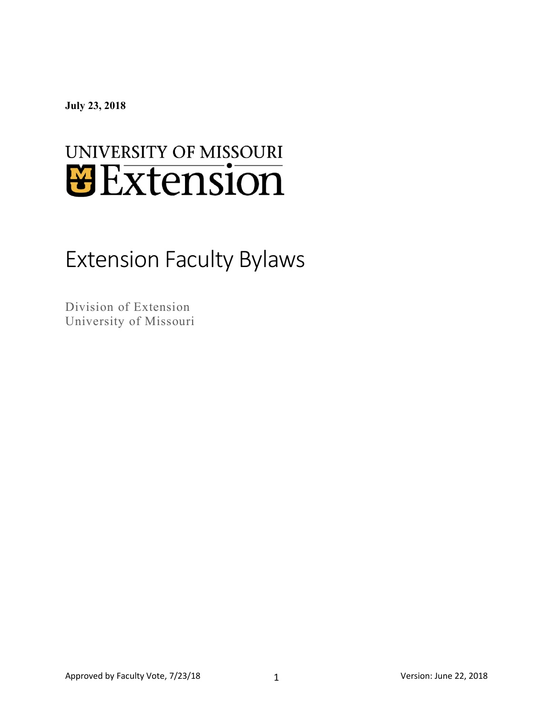**July 23, 2018**

# UNIVERSITY OF MISSOURI *U* Extension

# Extension Faculty Bylaws

Division of Extension University of Missouri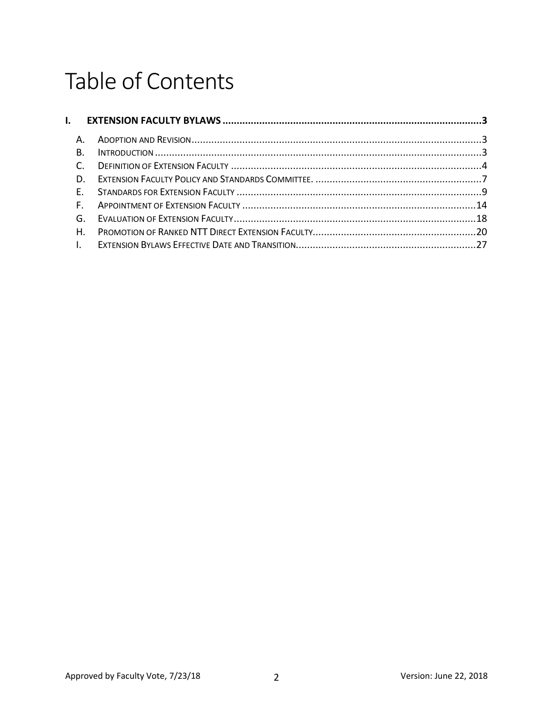# Table of Contents

|                | I. EXTENSION FACULTY BYLAWS …………………………………………………………………………………………3 |  |
|----------------|-----------------------------------------------------------------|--|
| A.             |                                                                 |  |
| В.             |                                                                 |  |
| $\mathsf{C}$ . |                                                                 |  |
| $D_{\perp}$    |                                                                 |  |
|                |                                                                 |  |
|                |                                                                 |  |
|                |                                                                 |  |
| Η.             |                                                                 |  |
| $\blacksquare$ |                                                                 |  |
|                |                                                                 |  |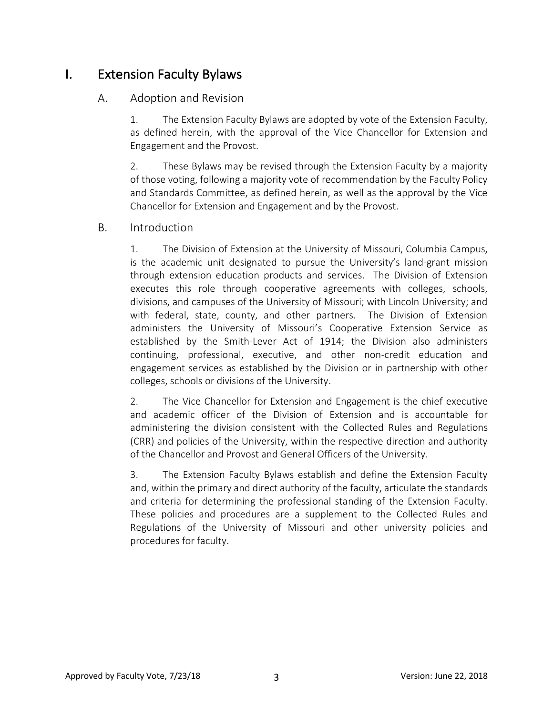# I. Extension Faculty Bylaws

#### A. Adoption and Revision

1. The Extension Faculty Bylaws are adopted by vote of the Extension Faculty, as defined herein, with the approval of the Vice Chancellor for Extension and Engagement and the Provost.

2. These Bylaws may be revised through the Extension Faculty by a majority of those voting, following a majority vote of recommendation by the Faculty Policy and Standards Committee, as defined herein, as well as the approval by the Vice Chancellor for Extension and Engagement and by the Provost.

#### B. Introduction

1. The Division of Extension at the University of Missouri, Columbia Campus, is the academic unit designated to pursue the University's land-grant mission through extension education products and services. The Division of Extension executes this role through cooperative agreements with colleges, schools, divisions, and campuses of the University of Missouri; with Lincoln University; and with federal, state, county, and other partners. The Division of Extension administers the University of Missouri's Cooperative Extension Service as established by the Smith-Lever Act of 1914; the Division also administers continuing, professional, executive, and other non-credit education and engagement services as established by the Division or in partnership with other colleges, schools or divisions of the University.

2. The Vice Chancellor for Extension and Engagement is the chief executive and academic officer of the Division of Extension and is accountable for administering the division consistent with the Collected Rules and Regulations (CRR) and policies of the University, within the respective direction and authority of the Chancellor and Provost and General Officers of the University.

3. The Extension Faculty Bylaws establish and define the Extension Faculty and, within the primary and direct authority of the faculty, articulate the standards and criteria for determining the professional standing of the Extension Faculty. These policies and procedures are a supplement to the Collected Rules and Regulations of the University of Missouri and other university policies and procedures for faculty.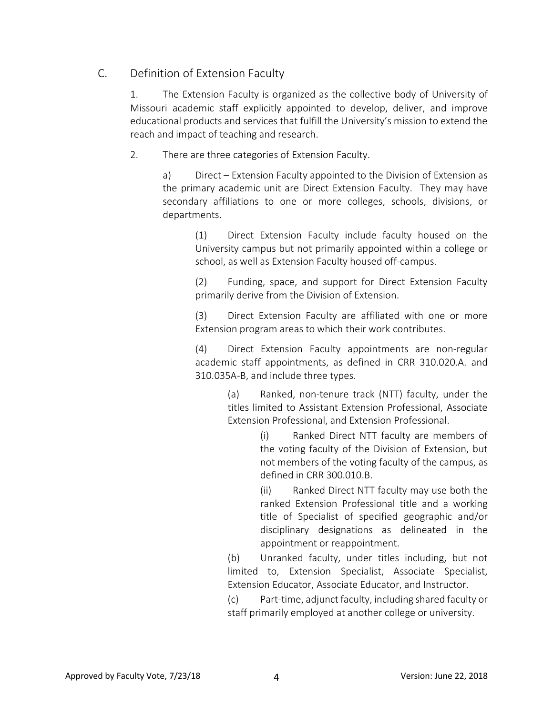# C. Definition of Extension Faculty

1. The Extension Faculty is organized as the collective body of University of Missouri academic staff explicitly appointed to develop, deliver, and improve educational products and services that fulfill the University's mission to extend the reach and impact of teaching and research.

2. There are three categories of Extension Faculty.

a) Direct – Extension Faculty appointed to the Division of Extension as the primary academic unit are Direct Extension Faculty. They may have secondary affiliations to one or more colleges, schools, divisions, or departments.

(1) Direct Extension Faculty include faculty housed on the University campus but not primarily appointed within a college or school, as well as Extension Faculty housed off-campus.

(2) Funding, space, and support for Direct Extension Faculty primarily derive from the Division of Extension.

(3) Direct Extension Faculty are affiliated with one or more Extension program areas to which their work contributes.

(4) Direct Extension Faculty appointments are non-regular academic staff appointments, as defined in CRR 310.020.A. and 310.035A-B, and include three types.

> (a) Ranked, non-tenure track (NTT) faculty, under the titles limited to Assistant Extension Professional, Associate Extension Professional, and Extension Professional.

> > (i) Ranked Direct NTT faculty are members of the voting faculty of the Division of Extension, but not members of the voting faculty of the campus, as defined in CRR 300.010.B.

> > (ii) Ranked Direct NTT faculty may use both the ranked Extension Professional title and a working title of Specialist of specified geographic and/or disciplinary designations as delineated in the appointment or reappointment.

(b) Unranked faculty, under titles including, but not limited to, Extension Specialist, Associate Specialist, Extension Educator, Associate Educator, and Instructor.

(c) Part-time, adjunct faculty, including shared faculty or staff primarily employed at another college or university.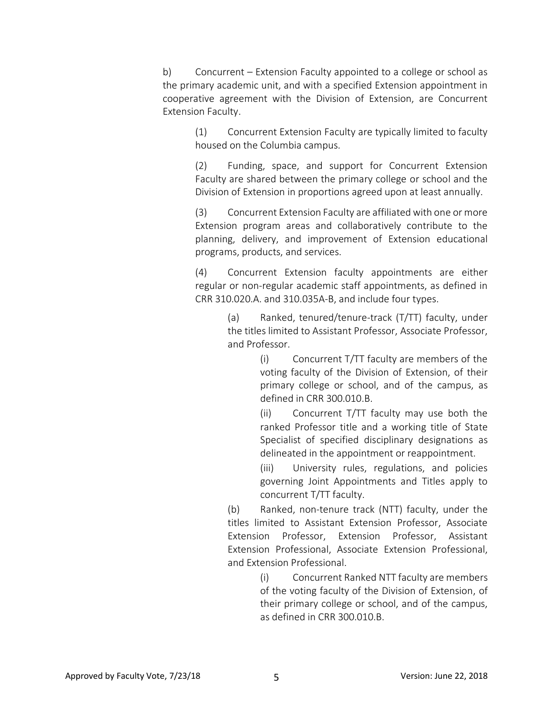b) Concurrent – Extension Faculty appointed to a college or school as the primary academic unit, and with a specified Extension appointment in cooperative agreement with the Division of Extension, are Concurrent Extension Faculty.

> (1) Concurrent Extension Faculty are typically limited to faculty housed on the Columbia campus.

> (2) Funding, space, and support for Concurrent Extension Faculty are shared between the primary college or school and the Division of Extension in proportions agreed upon at least annually.

> (3) Concurrent Extension Faculty are affiliated with one or more Extension program areas and collaboratively contribute to the planning, delivery, and improvement of Extension educational programs, products, and services.

> (4) Concurrent Extension faculty appointments are either regular or non-regular academic staff appointments, as defined in CRR 310.020.A. and 310.035A-B, and include four types.

> > (a) Ranked, tenured/tenure-track (T/TT) faculty, under the titles limited to Assistant Professor, Associate Professor, and Professor.

> > > (i) Concurrent T/TT faculty are members of the voting faculty of the Division of Extension, of their primary college or school, and of the campus, as defined in CRR 300.010.B.

> > > (ii) Concurrent T/TT faculty may use both the ranked Professor title and a working title of State Specialist of specified disciplinary designations as delineated in the appointment or reappointment.

> > > (iii) University rules, regulations, and policies governing Joint Appointments and Titles apply to concurrent T/TT faculty.

(b) Ranked, non-tenure track (NTT) faculty, under the titles limited to Assistant Extension Professor, Associate Extension Professor, Extension Professor, Assistant Extension Professional, Associate Extension Professional, and Extension Professional.

> (i) Concurrent Ranked NTT faculty are members of the voting faculty of the Division of Extension, of their primary college or school, and of the campus, as defined in CRR 300.010.B.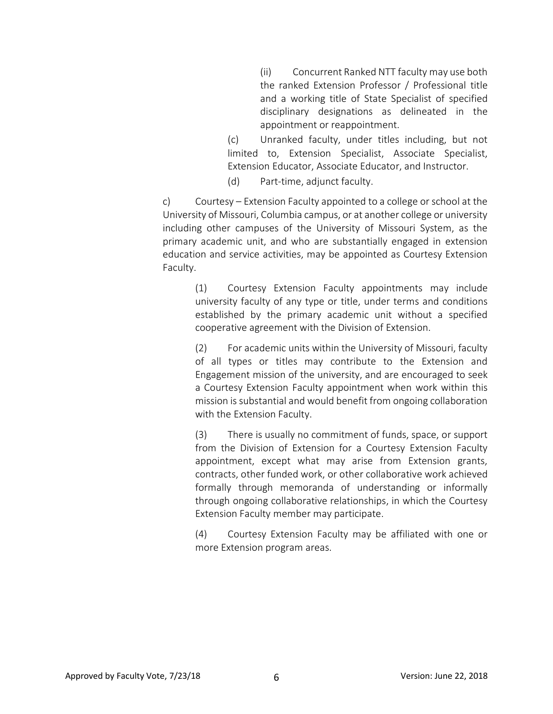(ii) Concurrent Ranked NTT faculty may use both the ranked Extension Professor / Professional title and a working title of State Specialist of specified disciplinary designations as delineated in the appointment or reappointment.

(c) Unranked faculty, under titles including, but not limited to, Extension Specialist, Associate Specialist, Extension Educator, Associate Educator, and Instructor.

(d) Part-time, adjunct faculty.

c) Courtesy – Extension Faculty appointed to a college or school at the University of Missouri, Columbia campus, or at another college or university including other campuses of the University of Missouri System, as the primary academic unit, and who are substantially engaged in extension education and service activities, may be appointed as Courtesy Extension Faculty.

(1) Courtesy Extension Faculty appointments may include university faculty of any type or title, under terms and conditions established by the primary academic unit without a specified cooperative agreement with the Division of Extension.

(2) For academic units within the University of Missouri, faculty of all types or titles may contribute to the Extension and Engagement mission of the university, and are encouraged to seek a Courtesy Extension Faculty appointment when work within this mission is substantial and would benefit from ongoing collaboration with the Extension Faculty.

(3) There is usually no commitment of funds, space, or support from the Division of Extension for a Courtesy Extension Faculty appointment, except what may arise from Extension grants, contracts, other funded work, or other collaborative work achieved formally through memoranda of understanding or informally through ongoing collaborative relationships, in which the Courtesy Extension Faculty member may participate.

(4) Courtesy Extension Faculty may be affiliated with one or more Extension program areas.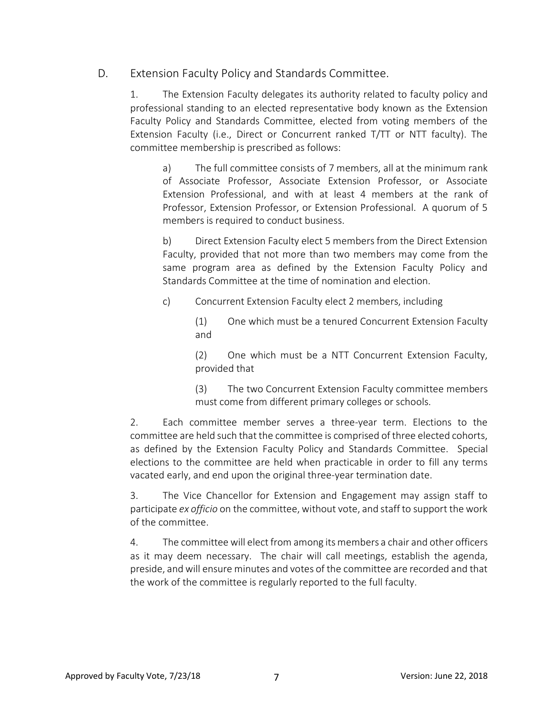D. Extension Faculty Policy and Standards Committee.

1. The Extension Faculty delegates its authority related to faculty policy and professional standing to an elected representative body known as the Extension Faculty Policy and Standards Committee, elected from voting members of the Extension Faculty (i.e., Direct or Concurrent ranked T/TT or NTT faculty). The committee membership is prescribed as follows:

a) The full committee consists of 7 members, all at the minimum rank of Associate Professor, Associate Extension Professor, or Associate Extension Professional, and with at least 4 members at the rank of Professor, Extension Professor, or Extension Professional. A quorum of 5 members is required to conduct business.

b) Direct Extension Faculty elect 5 members from the Direct Extension Faculty, provided that not more than two members may come from the same program area as defined by the Extension Faculty Policy and Standards Committee at the time of nomination and election.

c) Concurrent Extension Faculty elect 2 members, including

(1) One which must be a tenured Concurrent Extension Faculty and

(2) One which must be a NTT Concurrent Extension Faculty, provided that

(3) The two Concurrent Extension Faculty committee members must come from different primary colleges or schools.

2. Each committee member serves a three-year term. Elections to the committee are held such that the committee is comprised of three elected cohorts, as defined by the Extension Faculty Policy and Standards Committee. Special elections to the committee are held when practicable in order to fill any terms vacated early, and end upon the original three-year termination date.

3. The Vice Chancellor for Extension and Engagement may assign staff to participate *ex officio* on the committee, without vote, and staff to support the work of the committee.

4. The committee will elect from among its members a chair and other officers as it may deem necessary. The chair will call meetings, establish the agenda, preside, and will ensure minutes and votes of the committee are recorded and that the work of the committee is regularly reported to the full faculty.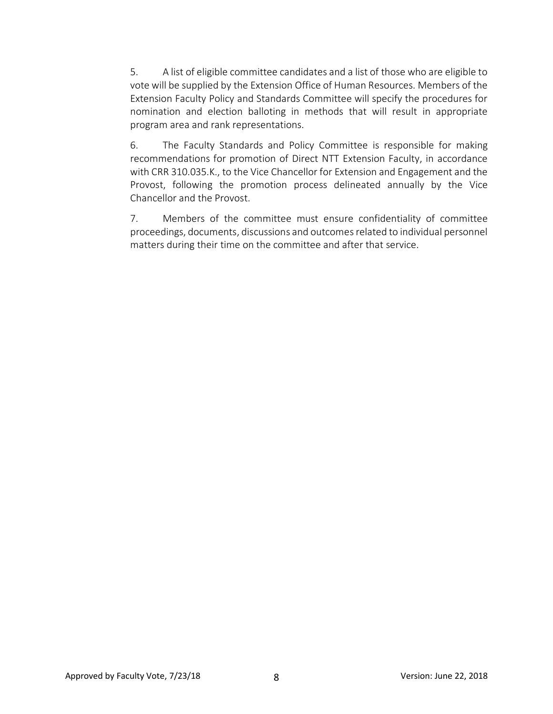5. A list of eligible committee candidates and a list of those who are eligible to vote will be supplied by the Extension Office of Human Resources. Members of the Extension Faculty Policy and Standards Committee will specify the procedures for nomination and election balloting in methods that will result in appropriate program area and rank representations.

6. The Faculty Standards and Policy Committee is responsible for making recommendations for promotion of Direct NTT Extension Faculty, in accordance with CRR 310.035.K., to the Vice Chancellor for Extension and Engagement and the Provost, following the promotion process delineated annually by the Vice Chancellor and the Provost.

7. Members of the committee must ensure confidentiality of committee proceedings, documents, discussions and outcomes related to individual personnel matters during their time on the committee and after that service.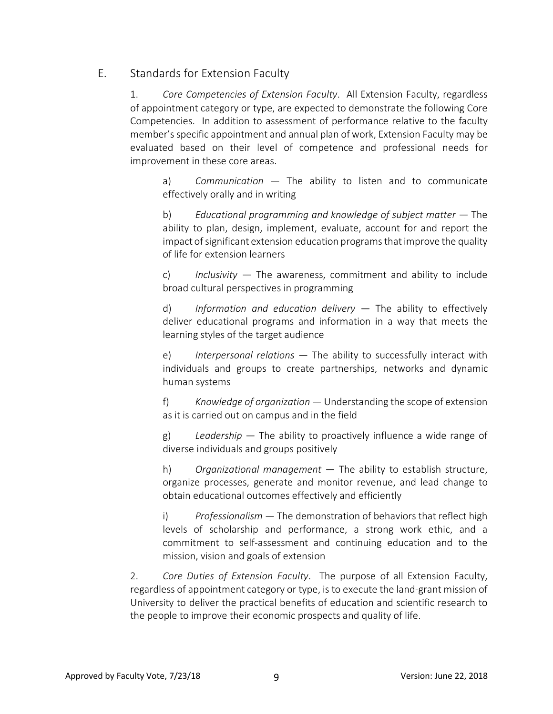# E. Standards for Extension Faculty

1. *Core Competencies of Extension Faculty*. All Extension Faculty, regardless of appointment category or type, are expected to demonstrate the following Core Competencies. In addition to assessment of performance relative to the faculty member's specific appointment and annual plan of work, Extension Faculty may be evaluated based on their level of competence and professional needs for improvement in these core areas.

a) *Communication* — The ability to listen and to communicate effectively orally and in writing

b) *Educational programming and knowledge of subject matter* — The ability to plan, design, implement, evaluate, account for and report the impact of significant extension education programs that improve the quality of life for extension learners

c) *Inclusivity* — The awareness, commitment and ability to include broad cultural perspectives in programming

d) *Information and education delivery* — The ability to effectively deliver educational programs and information in a way that meets the learning styles of the target audience

e) *Interpersonal relations* — The ability to successfully interact with individuals and groups to create partnerships, networks and dynamic human systems

f) *Knowledge of organization* — Understanding the scope of extension as it is carried out on campus and in the field

g) *Leadership* — The ability to proactively influence a wide range of diverse individuals and groups positively

h) *Organizational management* — The ability to establish structure, organize processes, generate and monitor revenue, and lead change to obtain educational outcomes effectively and efficiently

i) *Professionalism* — The demonstration of behaviors that reflect high levels of scholarship and performance, a strong work ethic, and a commitment to self-assessment and continuing education and to the mission, vision and goals of extension

2. *Core Duties of Extension Faculty*. The purpose of all Extension Faculty, regardless of appointment category or type, is to execute the land-grant mission of University to deliver the practical benefits of education and scientific research to the people to improve their economic prospects and quality of life.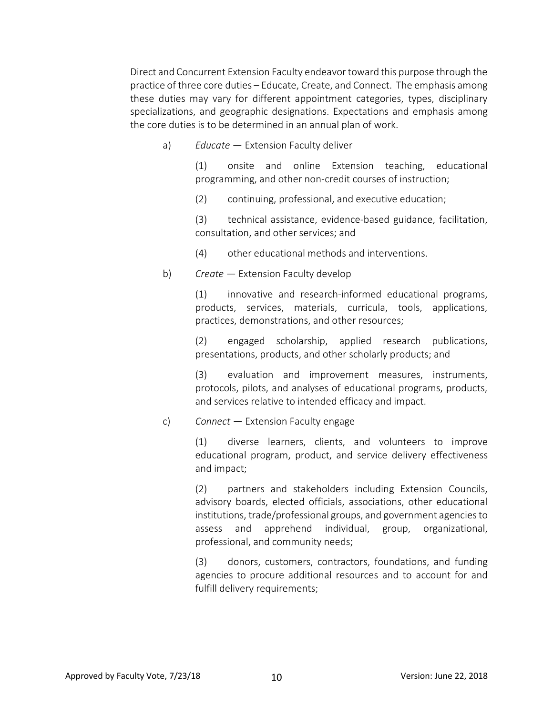Direct and Concurrent Extension Faculty endeavor toward this purpose through the practice of three core duties – Educate, Create, and Connect. The emphasis among these duties may vary for different appointment categories, types, disciplinary specializations, and geographic designations. Expectations and emphasis among the core duties is to be determined in an annual plan of work.

a) *Educate* — Extension Faculty deliver

(1) onsite and online Extension teaching, educational programming, and other non-credit courses of instruction;

(2) continuing, professional, and executive education;

(3) technical assistance, evidence-based guidance, facilitation, consultation, and other services; and

- (4) other educational methods and interventions.
- b) *Create* Extension Faculty develop

(1) innovative and research-informed educational programs, products, services, materials, curricula, tools, applications, practices, demonstrations, and other resources;

(2) engaged scholarship, applied research publications, presentations, products, and other scholarly products; and

(3) evaluation and improvement measures, instruments, protocols, pilots, and analyses of educational programs, products, and services relative to intended efficacy and impact.

c) *Connect* — Extension Faculty engage

(1) diverse learners, clients, and volunteers to improve educational program, product, and service delivery effectiveness and impact;

(2) partners and stakeholders including Extension Councils, advisory boards, elected officials, associations, other educational institutions, trade/professional groups, and government agencies to assess and apprehend individual, group, organizational, professional, and community needs;

(3) donors, customers, contractors, foundations, and funding agencies to procure additional resources and to account for and fulfill delivery requirements;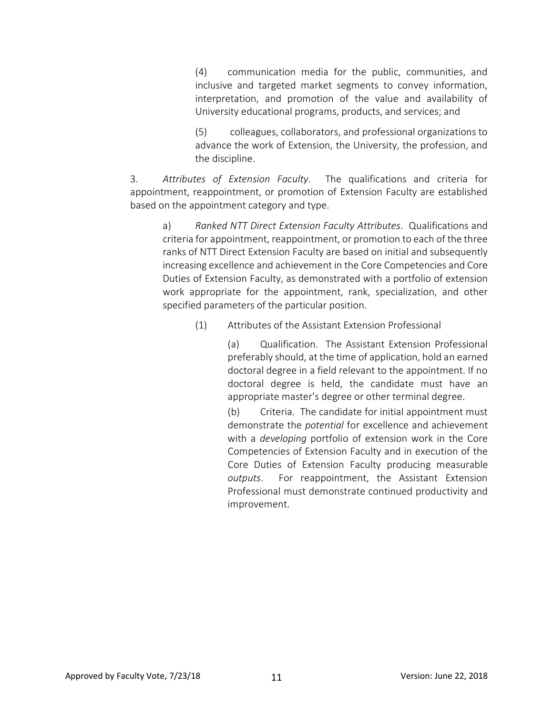(4) communication media for the public, communities, and inclusive and targeted market segments to convey information, interpretation, and promotion of the value and availability of University educational programs, products, and services; and

(5) colleagues, collaborators, and professional organizations to advance the work of Extension, the University, the profession, and the discipline.

3. *Attributes of Extension Faculty*. The qualifications and criteria for appointment, reappointment, or promotion of Extension Faculty are established based on the appointment category and type.

a) *Ranked NTT Direct Extension Faculty Attributes*. Qualifications and criteria for appointment, reappointment, or promotion to each of the three ranks of NTT Direct Extension Faculty are based on initial and subsequently increasing excellence and achievement in the Core Competencies and Core Duties of Extension Faculty, as demonstrated with a portfolio of extension work appropriate for the appointment, rank, specialization, and other specified parameters of the particular position.

(1) Attributes of the Assistant Extension Professional

(a) Qualification. The Assistant Extension Professional preferably should, at the time of application, hold an earned doctoral degree in a field relevant to the appointment. If no doctoral degree is held, the candidate must have an appropriate master's degree or other terminal degree.

(b) Criteria. The candidate for initial appointment must demonstrate the *potential* for excellence and achievement with a *developing* portfolio of extension work in the Core Competencies of Extension Faculty and in execution of the Core Duties of Extension Faculty producing measurable *outputs*. For reappointment, the Assistant Extension Professional must demonstrate continued productivity and improvement.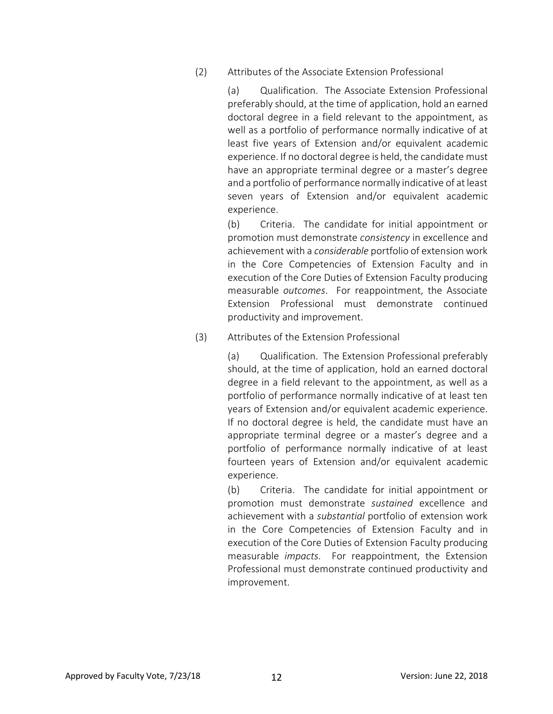(2) Attributes of the Associate Extension Professional

(a) Qualification. The Associate Extension Professional preferably should, at the time of application, hold an earned doctoral degree in a field relevant to the appointment, as well as a portfolio of performance normally indicative of at least five years of Extension and/or equivalent academic experience. If no doctoral degree is held, the candidate must have an appropriate terminal degree or a master's degree and a portfolio of performance normally indicative of at least seven years of Extension and/or equivalent academic experience.

(b) Criteria. The candidate for initial appointment or promotion must demonstrate *consistency* in excellence and achievement with a *considerable* portfolio of extension work in the Core Competencies of Extension Faculty and in execution of the Core Duties of Extension Faculty producing measurable *outcomes*. For reappointment, the Associate Extension Professional must demonstrate continued productivity and improvement.

(3) Attributes of the Extension Professional

(a) Qualification. The Extension Professional preferably should, at the time of application, hold an earned doctoral degree in a field relevant to the appointment, as well as a portfolio of performance normally indicative of at least ten years of Extension and/or equivalent academic experience. If no doctoral degree is held, the candidate must have an appropriate terminal degree or a master's degree and a portfolio of performance normally indicative of at least fourteen years of Extension and/or equivalent academic experience.

(b) Criteria. The candidate for initial appointment or promotion must demonstrate *sustained* excellence and achievement with a *substantial* portfolio of extension work in the Core Competencies of Extension Faculty and in execution of the Core Duties of Extension Faculty producing measurable *impacts*. For reappointment, the Extension Professional must demonstrate continued productivity and improvement.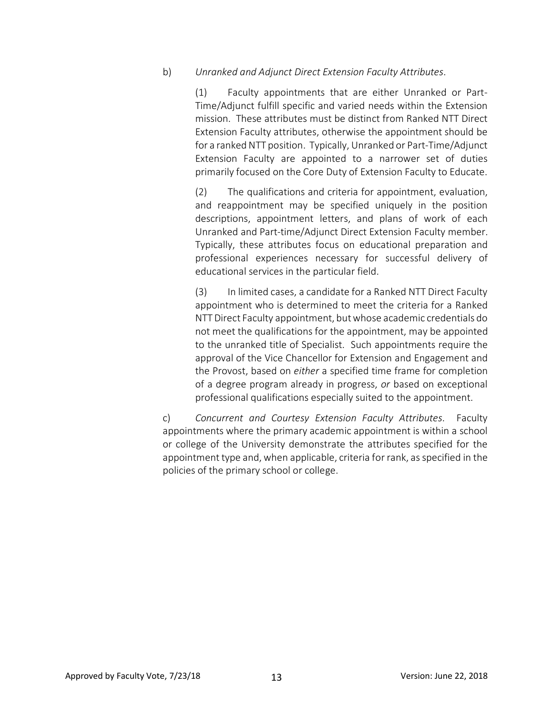b) *Unranked and Adjunct Direct Extension Faculty Attributes*.

(1) Faculty appointments that are either Unranked or Part-Time/Adjunct fulfill specific and varied needs within the Extension mission. These attributes must be distinct from Ranked NTT Direct Extension Faculty attributes, otherwise the appointment should be for a ranked NTT position. Typically, Unranked or Part-Time/Adjunct Extension Faculty are appointed to a narrower set of duties primarily focused on the Core Duty of Extension Faculty to Educate.

(2) The qualifications and criteria for appointment, evaluation, and reappointment may be specified uniquely in the position descriptions, appointment letters, and plans of work of each Unranked and Part-time/Adjunct Direct Extension Faculty member. Typically, these attributes focus on educational preparation and professional experiences necessary for successful delivery of educational services in the particular field.

(3) In limited cases, a candidate for a Ranked NTT Direct Faculty appointment who is determined to meet the criteria for a Ranked NTT Direct Faculty appointment, but whose academic credentials do not meet the qualifications for the appointment, may be appointed to the unranked title of Specialist. Such appointments require the approval of the Vice Chancellor for Extension and Engagement and the Provost, based on *either* a specified time frame for completion of a degree program already in progress, *or* based on exceptional professional qualifications especially suited to the appointment.

c) *Concurrent and Courtesy Extension Faculty Attributes*. Faculty appointments where the primary academic appointment is within a school or college of the University demonstrate the attributes specified for the appointment type and, when applicable, criteria for rank, as specified in the policies of the primary school or college.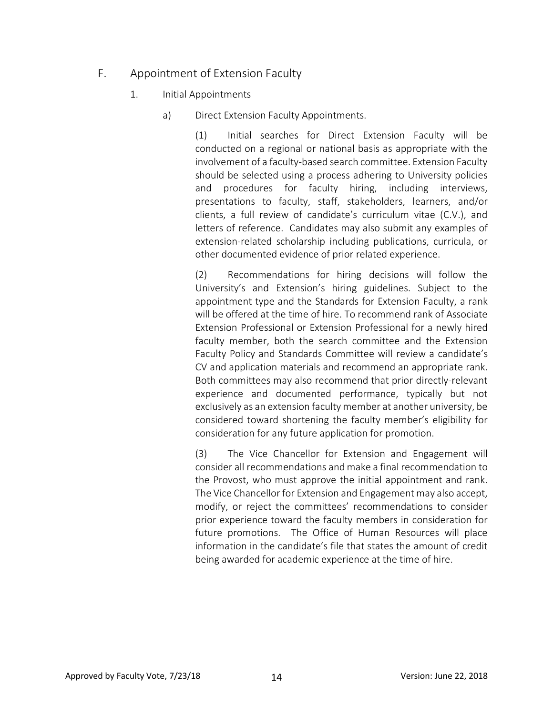# F. Appointment of Extension Faculty

- 1. Initial Appointments
	- a) Direct Extension Faculty Appointments.

(1) Initial searches for Direct Extension Faculty will be conducted on a regional or national basis as appropriate with the involvement of a faculty-based search committee. Extension Faculty should be selected using a process adhering to University policies and procedures for faculty hiring, including interviews, presentations to faculty, staff, stakeholders, learners, and/or clients, a full review of candidate's curriculum vitae (C.V.), and letters of reference. Candidates may also submit any examples of extension-related scholarship including publications, curricula, or other documented evidence of prior related experience.

(2) Recommendations for hiring decisions will follow the University's and Extension's hiring guidelines. Subject to the appointment type and the Standards for Extension Faculty, a rank will be offered at the time of hire. To recommend rank of Associate Extension Professional or Extension Professional for a newly hired faculty member, both the search committee and the Extension Faculty Policy and Standards Committee will review a candidate's CV and application materials and recommend an appropriate rank. Both committees may also recommend that prior directly-relevant experience and documented performance, typically but not exclusively as an extension faculty member at another university, be considered toward shortening the faculty member's eligibility for consideration for any future application for promotion.

(3) The Vice Chancellor for Extension and Engagement will consider all recommendations and make a final recommendation to the Provost, who must approve the initial appointment and rank. The Vice Chancellor for Extension and Engagement may also accept, modify, or reject the committees' recommendations to consider prior experience toward the faculty members in consideration for future promotions. The Office of Human Resources will place information in the candidate's file that states the amount of credit being awarded for academic experience at the time of hire.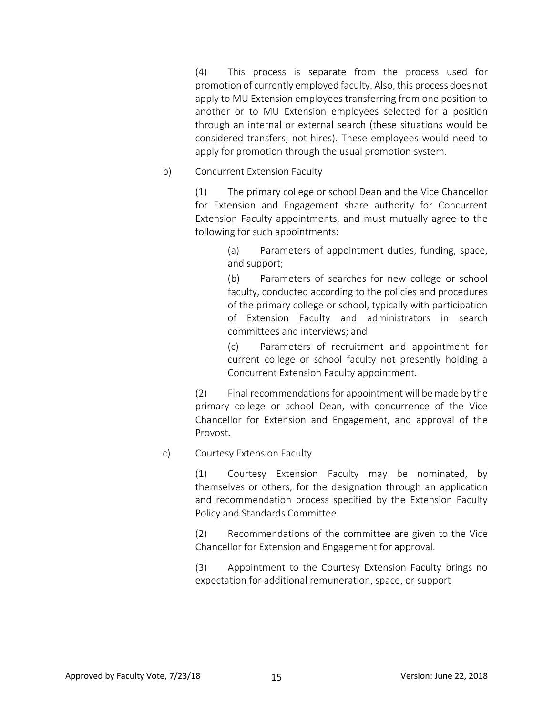(4) This process is separate from the process used for promotion of currently employed faculty. Also, this process does not apply to MU Extension employees transferring from one position to another or to MU Extension employees selected for a position through an internal or external search (these situations would be considered transfers, not hires). These employees would need to apply for promotion through the usual promotion system.

b) Concurrent Extension Faculty

(1) The primary college or school Dean and the Vice Chancellor for Extension and Engagement share authority for Concurrent Extension Faculty appointments, and must mutually agree to the following for such appointments:

> (a) Parameters of appointment duties, funding, space, and support;

> (b) Parameters of searches for new college or school faculty, conducted according to the policies and procedures of the primary college or school, typically with participation of Extension Faculty and administrators in search committees and interviews; and

> (c) Parameters of recruitment and appointment for current college or school faculty not presently holding a Concurrent Extension Faculty appointment.

(2) Final recommendations for appointment will be made by the primary college or school Dean, with concurrence of the Vice Chancellor for Extension and Engagement, and approval of the Provost.

c) Courtesy Extension Faculty

(1) Courtesy Extension Faculty may be nominated, by themselves or others, for the designation through an application and recommendation process specified by the Extension Faculty Policy and Standards Committee.

(2) Recommendations of the committee are given to the Vice Chancellor for Extension and Engagement for approval.

(3) Appointment to the Courtesy Extension Faculty brings no expectation for additional remuneration, space, or support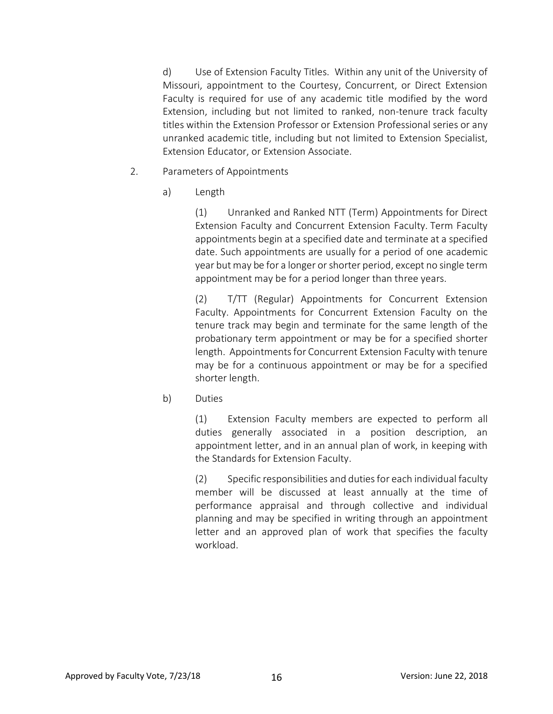d) Use of Extension Faculty Titles. Within any unit of the University of Missouri, appointment to the Courtesy, Concurrent, or Direct Extension Faculty is required for use of any academic title modified by the word Extension, including but not limited to ranked, non-tenure track faculty titles within the Extension Professor or Extension Professional series or any unranked academic title, including but not limited to Extension Specialist, Extension Educator, or Extension Associate.

- 2. Parameters of Appointments
	- a) Length

(1) Unranked and Ranked NTT (Term) Appointments for Direct Extension Faculty and Concurrent Extension Faculty. Term Faculty appointments begin at a specified date and terminate at a specified date. Such appointments are usually for a period of one academic year but may be for a longer or shorter period, except no single term appointment may be for a period longer than three years.

(2) T/TT (Regular) Appointments for Concurrent Extension Faculty. Appointments for Concurrent Extension Faculty on the tenure track may begin and terminate for the same length of the probationary term appointment or may be for a specified shorter length. Appointments for Concurrent Extension Faculty with tenure may be for a continuous appointment or may be for a specified shorter length.

b) Duties

(1) Extension Faculty members are expected to perform all duties generally associated in a position description, an appointment letter, and in an annual plan of work, in keeping with the Standards for Extension Faculty.

(2) Specific responsibilities and duties for each individual faculty member will be discussed at least annually at the time of performance appraisal and through collective and individual planning and may be specified in writing through an appointment letter and an approved plan of work that specifies the faculty workload.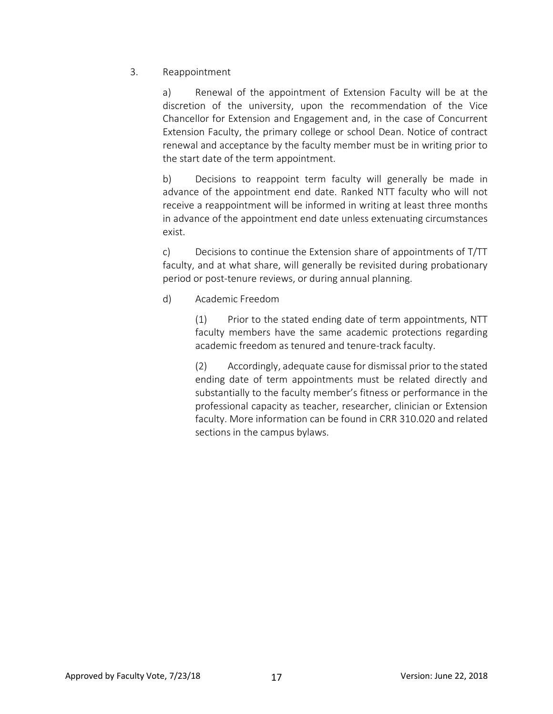#### 3. Reappointment

a) Renewal of the appointment of Extension Faculty will be at the discretion of the university, upon the recommendation of the Vice Chancellor for Extension and Engagement and, in the case of Concurrent Extension Faculty, the primary college or school Dean. Notice of contract renewal and acceptance by the faculty member must be in writing prior to the start date of the term appointment.

b) Decisions to reappoint term faculty will generally be made in advance of the appointment end date. Ranked NTT faculty who will not receive a reappointment will be informed in writing at least three months in advance of the appointment end date unless extenuating circumstances exist.

c) Decisions to continue the Extension share of appointments of T/TT faculty, and at what share, will generally be revisited during probationary period or post-tenure reviews, or during annual planning.

#### d) Academic Freedom

(1) Prior to the stated ending date of term appointments, NTT faculty members have the same academic protections regarding academic freedom as tenured and tenure-track faculty.

(2) Accordingly, adequate cause for dismissal prior to the stated ending date of term appointments must be related directly and substantially to the faculty member's fitness or performance in the professional capacity as teacher, researcher, clinician or Extension faculty. More information can be found in CRR 310.020 and related sections in the campus bylaws.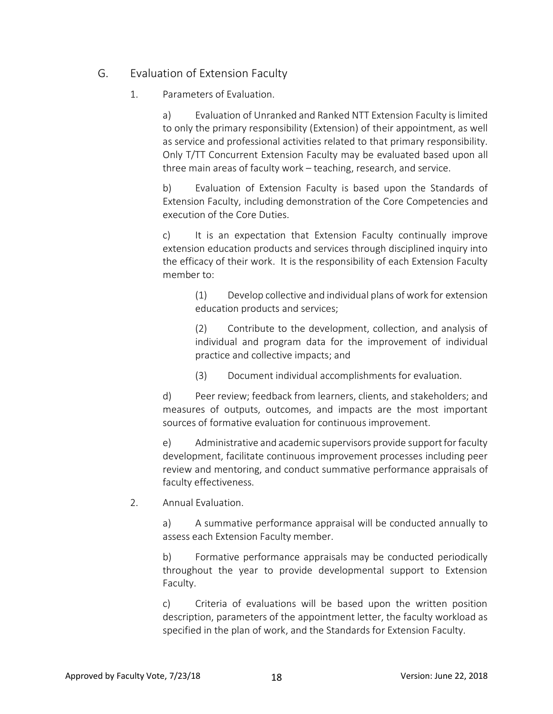## G. Evaluation of Extension Faculty

1. Parameters of Evaluation.

a) Evaluation of Unranked and Ranked NTT Extension Faculty is limited to only the primary responsibility (Extension) of their appointment, as well as service and professional activities related to that primary responsibility. Only T/TT Concurrent Extension Faculty may be evaluated based upon all three main areas of faculty work – teaching, research, and service.

b) Evaluation of Extension Faculty is based upon the Standards of Extension Faculty, including demonstration of the Core Competencies and execution of the Core Duties.

c) It is an expectation that Extension Faculty continually improve extension education products and services through disciplined inquiry into the efficacy of their work. It is the responsibility of each Extension Faculty member to:

(1) Develop collective and individual plans of work for extension education products and services;

(2) Contribute to the development, collection, and analysis of individual and program data for the improvement of individual practice and collective impacts; and

(3) Document individual accomplishments for evaluation.

d) Peer review; feedback from learners, clients, and stakeholders; and measures of outputs, outcomes, and impacts are the most important sources of formative evaluation for continuous improvement.

e) Administrative and academic supervisors provide support for faculty development, facilitate continuous improvement processes including peer review and mentoring, and conduct summative performance appraisals of faculty effectiveness.

2. Annual Evaluation.

a) A summative performance appraisal will be conducted annually to assess each Extension Faculty member.

b) Formative performance appraisals may be conducted periodically throughout the year to provide developmental support to Extension Faculty.

c) Criteria of evaluations will be based upon the written position description, parameters of the appointment letter, the faculty workload as specified in the plan of work, and the Standards for Extension Faculty.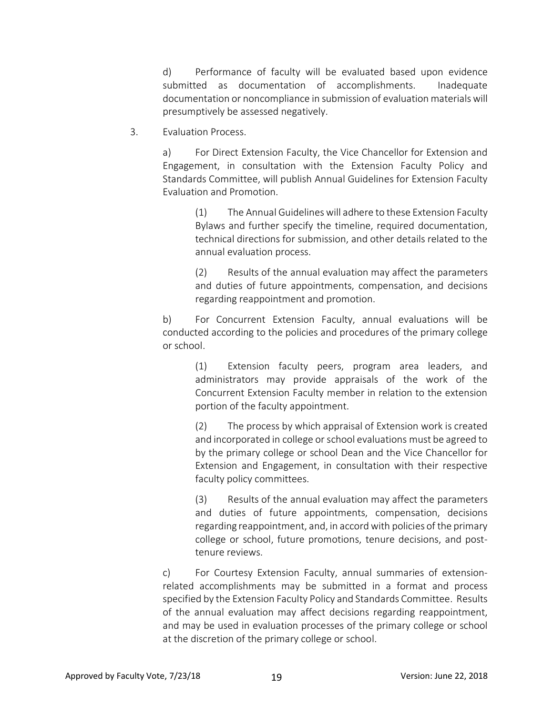d) Performance of faculty will be evaluated based upon evidence submitted as documentation of accomplishments. Inadequate documentation or noncompliance in submission of evaluation materials will presumptively be assessed negatively.

3. Evaluation Process.

a) For Direct Extension Faculty, the Vice Chancellor for Extension and Engagement, in consultation with the Extension Faculty Policy and Standards Committee, will publish Annual Guidelines for Extension Faculty Evaluation and Promotion.

(1) The Annual Guidelines will adhere to these Extension Faculty Bylaws and further specify the timeline, required documentation, technical directions for submission, and other details related to the annual evaluation process.

(2) Results of the annual evaluation may affect the parameters and duties of future appointments, compensation, and decisions regarding reappointment and promotion.

b) For Concurrent Extension Faculty, annual evaluations will be conducted according to the policies and procedures of the primary college or school.

> (1) Extension faculty peers, program area leaders, and administrators may provide appraisals of the work of the Concurrent Extension Faculty member in relation to the extension portion of the faculty appointment.

> (2) The process by which appraisal of Extension work is created and incorporated in college or school evaluations must be agreed to by the primary college or school Dean and the Vice Chancellor for Extension and Engagement, in consultation with their respective faculty policy committees.

> (3) Results of the annual evaluation may affect the parameters and duties of future appointments, compensation, decisions regarding reappointment, and, in accord with policies of the primary college or school, future promotions, tenure decisions, and posttenure reviews.

c) For Courtesy Extension Faculty, annual summaries of extensionrelated accomplishments may be submitted in a format and process specified by the Extension Faculty Policy and Standards Committee. Results of the annual evaluation may affect decisions regarding reappointment, and may be used in evaluation processes of the primary college or school at the discretion of the primary college or school.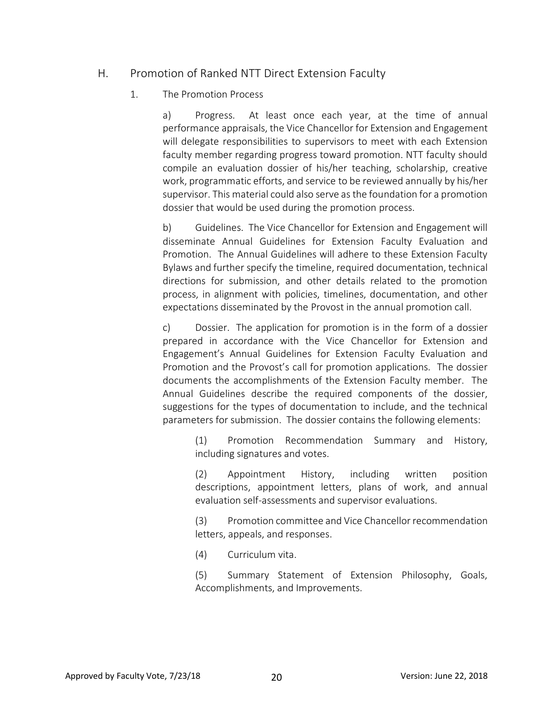### H. Promotion of Ranked NTT Direct Extension Faculty

#### 1. The Promotion Process

a) Progress. At least once each year, at the time of annual performance appraisals, the Vice Chancellor for Extension and Engagement will delegate responsibilities to supervisors to meet with each Extension faculty member regarding progress toward promotion. NTT faculty should compile an evaluation dossier of his/her teaching, scholarship, creative work, programmatic efforts, and service to be reviewed annually by his/her supervisor. This material could also serve as the foundation for a promotion dossier that would be used during the promotion process.

b) Guidelines. The Vice Chancellor for Extension and Engagement will disseminate Annual Guidelines for Extension Faculty Evaluation and Promotion. The Annual Guidelines will adhere to these Extension Faculty Bylaws and further specify the timeline, required documentation, technical directions for submission, and other details related to the promotion process, in alignment with policies, timelines, documentation, and other expectations disseminated by the Provost in the annual promotion call.

c) Dossier. The application for promotion is in the form of a dossier prepared in accordance with the Vice Chancellor for Extension and Engagement's Annual Guidelines for Extension Faculty Evaluation and Promotion and the Provost's call for promotion applications. The dossier documents the accomplishments of the Extension Faculty member. The Annual Guidelines describe the required components of the dossier, suggestions for the types of documentation to include, and the technical parameters for submission. The dossier contains the following elements:

(1) Promotion Recommendation Summary and History, including signatures and votes.

(2) Appointment History, including written position descriptions, appointment letters, plans of work, and annual evaluation self-assessments and supervisor evaluations.

(3) Promotion committee and Vice Chancellor recommendation letters, appeals, and responses.

(4) Curriculum vita.

(5) Summary Statement of Extension Philosophy, Goals, Accomplishments, and Improvements.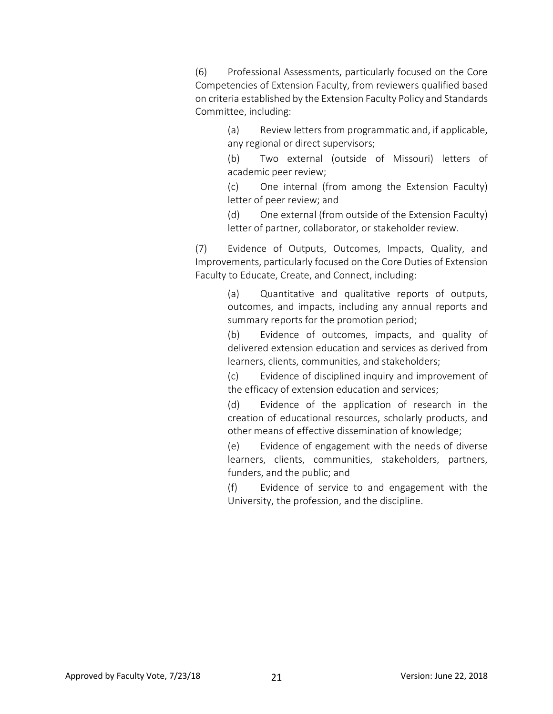(6) Professional Assessments, particularly focused on the Core Competencies of Extension Faculty, from reviewers qualified based on criteria established by the Extension Faculty Policy and Standards Committee, including:

> (a) Review letters from programmatic and, if applicable, any regional or direct supervisors;

> (b) Two external (outside of Missouri) letters of academic peer review;

> (c) One internal (from among the Extension Faculty) letter of peer review; and

> (d) One external (from outside of the Extension Faculty) letter of partner, collaborator, or stakeholder review.

(7) Evidence of Outputs, Outcomes, Impacts, Quality, and Improvements, particularly focused on the Core Duties of Extension Faculty to Educate, Create, and Connect, including:

> (a) Quantitative and qualitative reports of outputs, outcomes, and impacts, including any annual reports and summary reports for the promotion period;

> (b) Evidence of outcomes, impacts, and quality of delivered extension education and services as derived from learners, clients, communities, and stakeholders;

> (c) Evidence of disciplined inquiry and improvement of the efficacy of extension education and services;

> (d) Evidence of the application of research in the creation of educational resources, scholarly products, and other means of effective dissemination of knowledge;

> (e) Evidence of engagement with the needs of diverse learners, clients, communities, stakeholders, partners, funders, and the public; and

> (f) Evidence of service to and engagement with the University, the profession, and the discipline.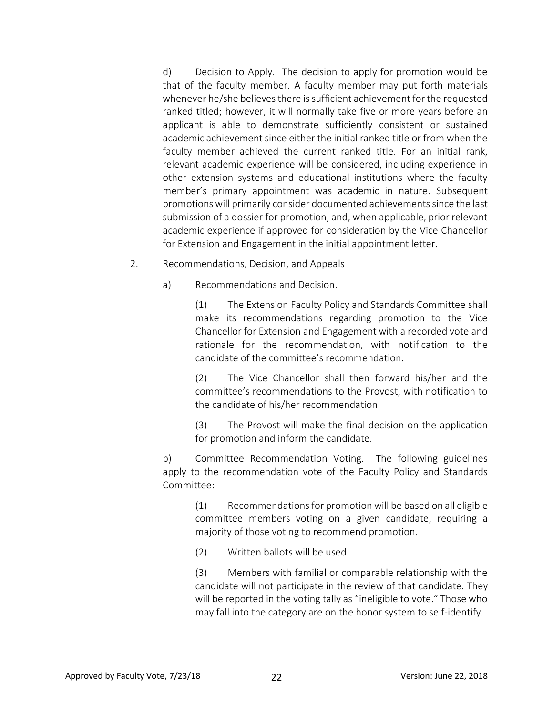d) Decision to Apply. The decision to apply for promotion would be that of the faculty member. A faculty member may put forth materials whenever he/she believes there is sufficient achievement for the requested ranked titled; however, it will normally take five or more years before an applicant is able to demonstrate sufficiently consistent or sustained academic achievement since either the initial ranked title or from when the faculty member achieved the current ranked title. For an initial rank, relevant academic experience will be considered, including experience in other extension systems and educational institutions where the faculty member's primary appointment was academic in nature. Subsequent promotions will primarily consider documented achievements since the last submission of a dossier for promotion, and, when applicable, prior relevant academic experience if approved for consideration by the Vice Chancellor for Extension and Engagement in the initial appointment letter.

- 2. Recommendations, Decision, and Appeals
	- a) Recommendations and Decision.

(1) The Extension Faculty Policy and Standards Committee shall make its recommendations regarding promotion to the Vice Chancellor for Extension and Engagement with a recorded vote and rationale for the recommendation, with notification to the candidate of the committee's recommendation.

(2) The Vice Chancellor shall then forward his/her and the committee's recommendations to the Provost, with notification to the candidate of his/her recommendation.

(3) The Provost will make the final decision on the application for promotion and inform the candidate.

b) Committee Recommendation Voting. The following guidelines apply to the recommendation vote of the Faculty Policy and Standards Committee:

(1) Recommendations for promotion will be based on all eligible committee members voting on a given candidate, requiring a majority of those voting to recommend promotion.

(2) Written ballots will be used.

(3) Members with familial or comparable relationship with the candidate will not participate in the review of that candidate. They will be reported in the voting tally as "ineligible to vote." Those who may fall into the category are on the honor system to self-identify.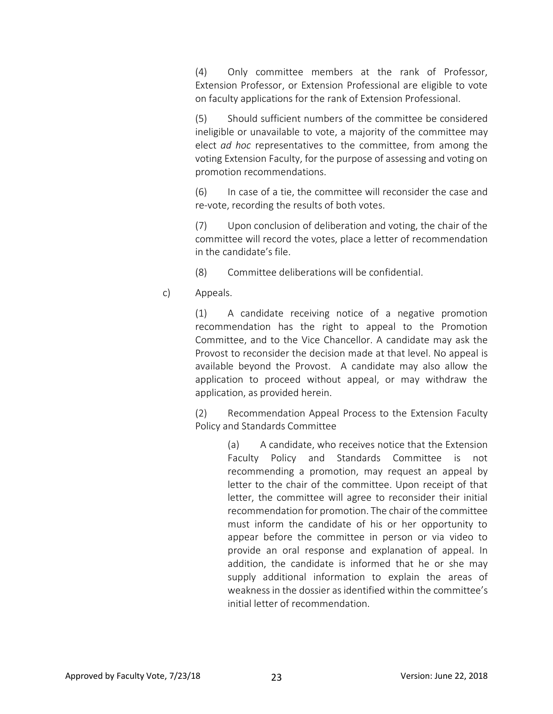(4) Only committee members at the rank of Professor, Extension Professor, or Extension Professional are eligible to vote on faculty applications for the rank of Extension Professional.

(5) Should sufficient numbers of the committee be considered ineligible or unavailable to vote, a majority of the committee may elect *ad hoc* representatives to the committee, from among the voting Extension Faculty, for the purpose of assessing and voting on promotion recommendations.

(6) In case of a tie, the committee will reconsider the case and re-vote, recording the results of both votes.

(7) Upon conclusion of deliberation and voting, the chair of the committee will record the votes, place a letter of recommendation in the candidate's file.

(8) Committee deliberations will be confidential.

c) Appeals.

(1) A candidate receiving notice of a negative promotion recommendation has the right to appeal to the Promotion Committee, and to the Vice Chancellor. A candidate may ask the Provost to reconsider the decision made at that level. No appeal is available beyond the Provost. A candidate may also allow the application to proceed without appeal, or may withdraw the application, as provided herein.

(2) Recommendation Appeal Process to the Extension Faculty Policy and Standards Committee

> (a) A candidate, who receives notice that the Extension Faculty Policy and Standards Committee is not recommending a promotion, may request an appeal by letter to the chair of the committee. Upon receipt of that letter, the committee will agree to reconsider their initial recommendation for promotion. The chair of the committee must inform the candidate of his or her opportunity to appear before the committee in person or via video to provide an oral response and explanation of appeal. In addition, the candidate is informed that he or she may supply additional information to explain the areas of weakness in the dossier as identified within the committee's initial letter of recommendation.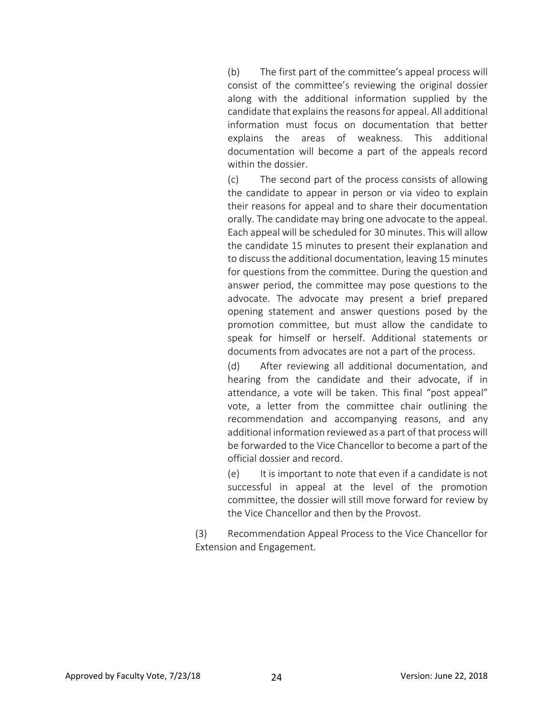(b) The first part of the committee's appeal process will consist of the committee's reviewing the original dossier along with the additional information supplied by the candidate that explains the reasons for appeal. All additional information must focus on documentation that better explains the areas of weakness. This additional documentation will become a part of the appeals record within the dossier.

(c) The second part of the process consists of allowing the candidate to appear in person or via video to explain their reasons for appeal and to share their documentation orally. The candidate may bring one advocate to the appeal. Each appeal will be scheduled for 30 minutes. This will allow the candidate 15 minutes to present their explanation and to discuss the additional documentation, leaving 15 minutes for questions from the committee. During the question and answer period, the committee may pose questions to the advocate. The advocate may present a brief prepared opening statement and answer questions posed by the promotion committee, but must allow the candidate to speak for himself or herself. Additional statements or documents from advocates are not a part of the process.

(d) After reviewing all additional documentation, and hearing from the candidate and their advocate, if in attendance, a vote will be taken. This final "post appeal" vote, a letter from the committee chair outlining the recommendation and accompanying reasons, and any additional information reviewed as a part of that process will be forwarded to the Vice Chancellor to become a part of the official dossier and record.

(e) It is important to note that even if a candidate is not successful in appeal at the level of the promotion committee, the dossier will still move forward for review by the Vice Chancellor and then by the Provost.

(3) Recommendation Appeal Process to the Vice Chancellor for Extension and Engagement.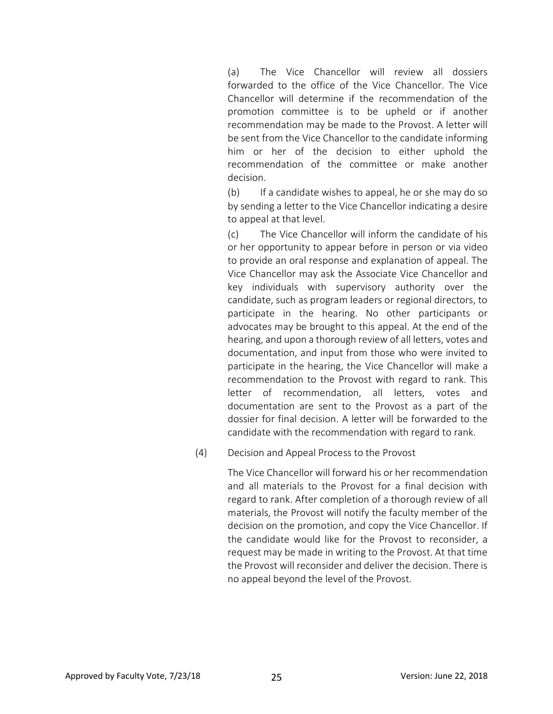(a) The Vice Chancellor will review all dossiers forwarded to the office of the Vice Chancellor. The Vice Chancellor will determine if the recommendation of the promotion committee is to be upheld or if another recommendation may be made to the Provost. A letter will be sent from the Vice Chancellor to the candidate informing him or her of the decision to either uphold the recommendation of the committee or make another decision.

(b) If a candidate wishes to appeal, he or she may do so by sending a letter to the Vice Chancellor indicating a desire to appeal at that level.

(c) The Vice Chancellor will inform the candidate of his or her opportunity to appear before in person or via video to provide an oral response and explanation of appeal. The Vice Chancellor may ask the Associate Vice Chancellor and key individuals with supervisory authority over the candidate, such as program leaders or regional directors, to participate in the hearing. No other participants or advocates may be brought to this appeal. At the end of the hearing, and upon a thorough review of all letters, votes and documentation, and input from those who were invited to participate in the hearing, the Vice Chancellor will make a recommendation to the Provost with regard to rank. This letter of recommendation, all letters, votes and documentation are sent to the Provost as a part of the dossier for final decision. A letter will be forwarded to the candidate with the recommendation with regard to rank.

(4) Decision and Appeal Process to the Provost

The Vice Chancellor will forward his or her recommendation and all materials to the Provost for a final decision with regard to rank. After completion of a thorough review of all materials, the Provost will notify the faculty member of the decision on the promotion, and copy the Vice Chancellor. If the candidate would like for the Provost to reconsider, a request may be made in writing to the Provost. At that time the Provost will reconsider and deliver the decision. There is no appeal beyond the level of the Provost.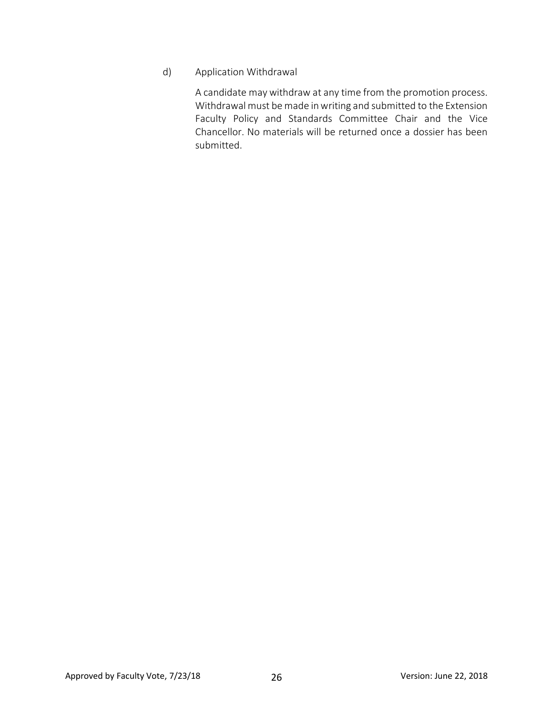#### d) Application Withdrawal

A candidate may withdraw at any time from the promotion process. Withdrawal must be made in writing and submitted to the Extension Faculty Policy and Standards Committee Chair and the Vice Chancellor. No materials will be returned once a dossier has been submitted.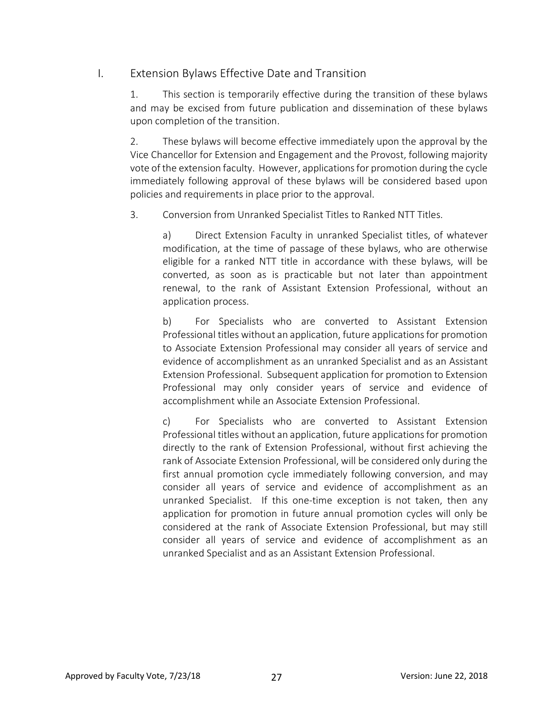### I. Extension Bylaws Effective Date and Transition

1. This section is temporarily effective during the transition of these bylaws and may be excised from future publication and dissemination of these bylaws upon completion of the transition.

2. These bylaws will become effective immediately upon the approval by the Vice Chancellor for Extension and Engagement and the Provost, following majority vote of the extension faculty. However, applications for promotion during the cycle immediately following approval of these bylaws will be considered based upon policies and requirements in place prior to the approval.

3. Conversion from Unranked Specialist Titles to Ranked NTT Titles.

a) Direct Extension Faculty in unranked Specialist titles, of whatever modification, at the time of passage of these bylaws, who are otherwise eligible for a ranked NTT title in accordance with these bylaws, will be converted, as soon as is practicable but not later than appointment renewal, to the rank of Assistant Extension Professional, without an application process.

b) For Specialists who are converted to Assistant Extension Professional titles without an application, future applications for promotion to Associate Extension Professional may consider all years of service and evidence of accomplishment as an unranked Specialist and as an Assistant Extension Professional. Subsequent application for promotion to Extension Professional may only consider years of service and evidence of accomplishment while an Associate Extension Professional.

c) For Specialists who are converted to Assistant Extension Professional titles without an application, future applications for promotion directly to the rank of Extension Professional, without first achieving the rank of Associate Extension Professional, will be considered only during the first annual promotion cycle immediately following conversion, and may consider all years of service and evidence of accomplishment as an unranked Specialist. If this one-time exception is not taken, then any application for promotion in future annual promotion cycles will only be considered at the rank of Associate Extension Professional, but may still consider all years of service and evidence of accomplishment as an unranked Specialist and as an Assistant Extension Professional.